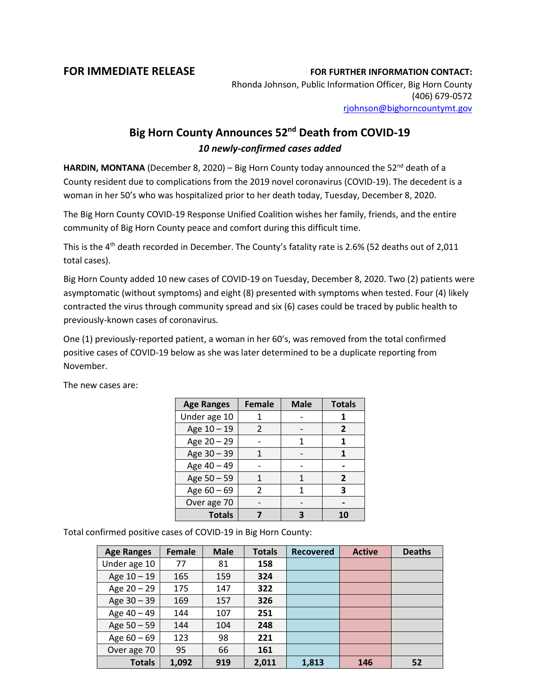## **FOR IMMEDIATE RELEASE FOR FURTHER INFORMATION CONTACT:**

Rhonda Johnson, Public Information Officer, Big Horn County (406) 679-0572 [rjohnson@bighorncountymt.gov](mailto:rjohnson@bighorncountymt.gov)

## **Big Horn County Announces 52nd Death from COVID-19** *10 newly-confirmed cases added*

**HARDIN, MONTANA** (December 8, 2020) – Big Horn County today announced the 52<sup>nd</sup> death of a County resident due to complications from the 2019 novel coronavirus (COVID-19). The decedent is a woman in her 50's who was hospitalized prior to her death today, Tuesday, December 8, 2020.

The Big Horn County COVID-19 Response Unified Coalition wishes her family, friends, and the entire community of Big Horn County peace and comfort during this difficult time.

This is the 4<sup>th</sup> death recorded in December. The County's fatality rate is 2.6% (52 deaths out of 2,011 total cases).

Big Horn County added 10 new cases of COVID-19 on Tuesday, December 8, 2020. Two (2) patients were asymptomatic (without symptoms) and eight (8) presented with symptoms when tested. Four (4) likely contracted the virus through community spread and six (6) cases could be traced by public health to previously-known cases of coronavirus.

One (1) previously-reported patient, a woman in her 60's, was removed from the total confirmed positive cases of COVID-19 below as she was later determined to be a duplicate reporting from November.

| <b>Age Ranges</b> | <b>Female</b> | <b>Male</b> | <b>Totals</b>  |
|-------------------|---------------|-------------|----------------|
| Under age 10      |               |             |                |
| Age 10 - 19       | 2             |             | $\overline{2}$ |
| Age 20 - 29       |               |             | 1              |
| Age 30 - 39       |               |             |                |
| Age 40 - 49       |               |             |                |
| Age 50 - 59       |               |             | 2              |
| Age 60 - 69       | $\mathcal{P}$ |             | 3              |
| Over age 70       |               |             |                |
| <b>Totals</b>     |               |             |                |

The new cases are:

Total confirmed positive cases of COVID-19 in Big Horn County:

| <b>Age Ranges</b> | Female | <b>Male</b> | <b>Totals</b> | <b>Recovered</b> | <b>Active</b> | <b>Deaths</b> |
|-------------------|--------|-------------|---------------|------------------|---------------|---------------|
| Under age 10      | 77     | 81          | 158           |                  |               |               |
| Age $10 - 19$     | 165    | 159         | 324           |                  |               |               |
| Age $20 - 29$     | 175    | 147         | 322           |                  |               |               |
| Age $30 - 39$     | 169    | 157         | 326           |                  |               |               |
| Age 40 - 49       | 144    | 107         | 251           |                  |               |               |
| Age $50 - 59$     | 144    | 104         | 248           |                  |               |               |
| Age $60 - 69$     | 123    | 98          | 221           |                  |               |               |
| Over age 70       | 95     | 66          | 161           |                  |               |               |
| <b>Totals</b>     | 1,092  | 919         | 2,011         | 1,813            | 146           | 52            |